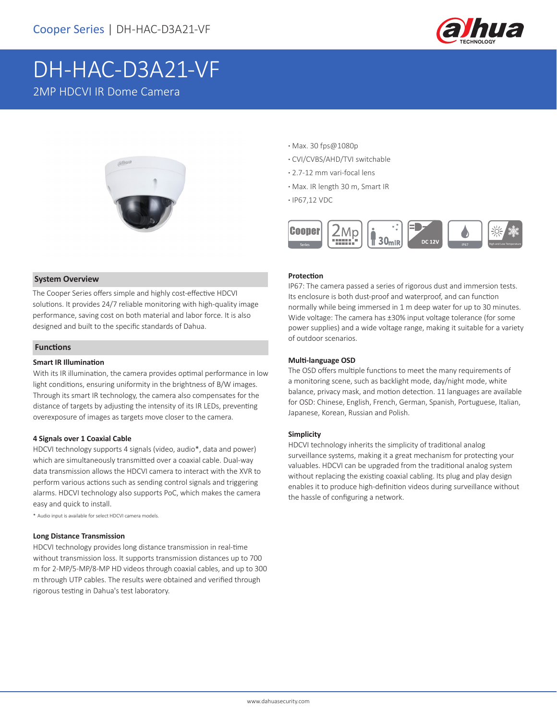

# DH-HAC-D3A21-VF 2MP HDCVI IR Dome Camera



### **System Overview**

The Cooper Series offers simple and highly cost-effective HDCVI solutions. It provides 24/7 reliable monitoring with high-quality image performance, saving cost on both material and labor force. It is also designed and built to the specific standards of Dahua.

### **Functions**

### **Smart IR Illumination**

With its IR illumination, the camera provides optimal performance in low light conditions, ensuring uniformity in the brightness of B/W images. Through its smart IR technology, the camera also compensates for the distance of targets by adjusting the intensity of its IR LEDs, preventing overexposure of images as targets move closer to the camera.

### **4 Signals over 1 Coaxial Cable**

HDCVI technology supports 4 signals (video, audio\*, data and power) which are simultaneously transmitted over a coaxial cable. Dual-way data transmission allows the HDCVI camera to interact with the XVR to perform various actions such as sending control signals and triggering alarms. HDCVI technology also supports PoC, which makes the camera easy and quick to install.

\* Audio input is available for select HDCVI camera models.

### **Long Distance Transmission**

HDCVI technology provides long distance transmission in real-time without transmission loss. It supports transmission distances up to 700 m for 2-MP/5-MP/8-MP HD videos through coaxial cables, and up to 300 m through UTP cables. The results were obtained and verified through rigorous testing in Dahua's test laboratory.

- **·** Max. 30 fps@1080p
- **·** CVI/CVBS/AHD/TVI switchable
- **·** 2.7-12 mm vari-focal lens
- **·** Max. IR length 30 m, Smart IR
- **·** IP67,12 VDC



### **Protection**

IP67: The camera passed a series of rigorous dust and immersion tests. Its enclosure is both dust-proof and waterproof, and can function normally while being immersed in 1 m deep water for up to 30 minutes. Wide voltage: The camera has ±30% input voltage tolerance (for some power supplies) and a wide voltage range, making it suitable for a variety of outdoor scenarios.

### **Multi-language OSD**

The OSD offers multiple functions to meet the many requirements of a monitoring scene, such as backlight mode, day/night mode, white balance, privacy mask, and motion detection. 11 languages are available for OSD: Chinese, English, French, German, Spanish, Portuguese, Italian, Japanese, Korean, Russian and Polish.

### **Simplicity**

HDCVI technology inherits the simplicity of traditional analog surveillance systems, making it a great mechanism for protecting your valuables. HDCVI can be upgraded from the traditional analog system without replacing the existing coaxial cabling. Its plug and play design enables it to produce high-definition videos during surveillance without the hassle of configuring a network.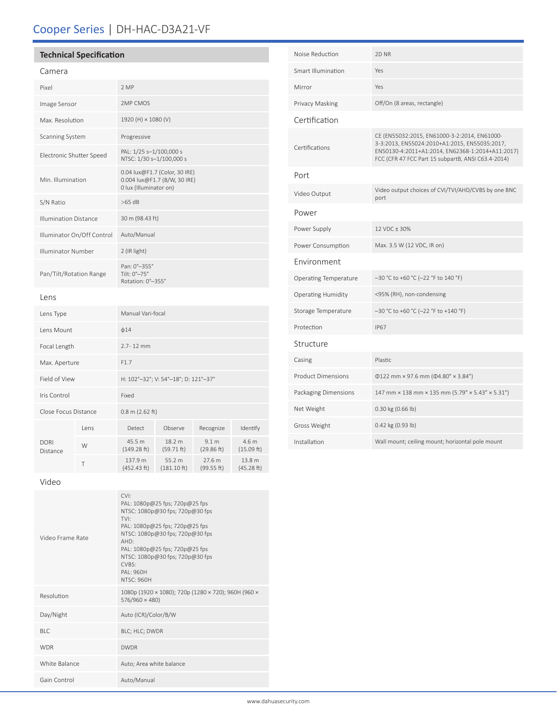# Cooper Series | DH-HAC-D3A21-VF

## **Technical Specification**

### Camera

| Pixel                        |      | 2 MP                                                                                    |                                 |                                |                      |  |
|------------------------------|------|-----------------------------------------------------------------------------------------|---------------------------------|--------------------------------|----------------------|--|
| Image Sensor                 |      | 2MP CMOS                                                                                |                                 |                                |                      |  |
| Max. Resolution              |      | 1920 (H) × 1080 (V)                                                                     |                                 |                                |                      |  |
| Scanning System              |      | Progressive                                                                             |                                 |                                |                      |  |
| Electronic Shutter Speed     |      | PAL: 1/25 s-1/100,000 s<br>NTSC: 1/30 s-1/100,000 s                                     |                                 |                                |                      |  |
| Min. Illumination            |      | 0.04 lux@F1.7 (Color, 30 IRE)<br>0.004 lux@F1.7 (B/W, 30 IRE)<br>0 lux (Illuminator on) |                                 |                                |                      |  |
| S/N Ratio                    |      | $>65$ dB                                                                                |                                 |                                |                      |  |
| <b>Illumination Distance</b> |      | 30 m (98.43 ft)                                                                         |                                 |                                |                      |  |
| Illuminator On/Off Control   |      | Auto/Manual                                                                             |                                 |                                |                      |  |
| Illuminator Number           |      | 2 (IR light)                                                                            |                                 |                                |                      |  |
| Pan/Tilt/Rotation Range      |      | Pan: 0°-355°<br>Tilt: 0°-75°<br>Rotation: 0°-355°                                       |                                 |                                |                      |  |
| Lens                         |      |                                                                                         |                                 |                                |                      |  |
| Lens Type                    |      | Manual Vari-focal                                                                       |                                 |                                |                      |  |
| Lens Mount                   |      | $\phi$ 14                                                                               |                                 |                                |                      |  |
| Focal Length                 |      | 2.7-12 mm                                                                               |                                 |                                |                      |  |
| Max. Aperture                |      | F1.7                                                                                    |                                 |                                |                      |  |
| Field of View                |      | H: 102°-32°; V: 54°-18°; D: 121°-37°                                                    |                                 |                                |                      |  |
| Iris Control                 |      | Fixed                                                                                   |                                 |                                |                      |  |
| Close Focus Distance         |      | $0.8$ m (2.62 ft)                                                                       |                                 |                                |                      |  |
| DORI<br>Distance             | Lens | Detect                                                                                  | Observe                         | Recognize                      | Identify             |  |
|                              | W    | 45.5 m<br>(149.28 ft)                                                                   | 18.2 m<br>(59.71 ft)            | 9.1 <sub>m</sub><br>(29.86 ft) | 4.6 m<br>(15.09 ft)  |  |
|                              | T    | 137.9 m<br>(452.43 ft)                                                                  | 55.2 m<br>$(181.10 \text{ ft})$ | 27.6 m<br>(99.55 ft)           | 13.8 m<br>(45.28 ft) |  |

Noise Reduction 2D NR Smart Illumination Yes Mirror Yes Privacy Masking Off/On (8 areas, rectangle) Certification Certifications CE (EN55032:2015, EN61000-3-2:2014, EN61000- 3-3:2013, EN55024:2010+A1:2015, EN55035:2017, EN50130-4:2011+A1:2014, EN62368-1:2014+A11:2017) FCC (CFR 47 FCC Part 15 subpartB, ANSI C63.4-2014) Port Video Output Video output choices of CVI/TVI/AHD/CVBS by one BNC port Power Power Supply 12 VDC ± 30% Power Consumption Max. 3.5 W (12 VDC, IR on) Environment Operating Temperature –30 °C to +60 °C (–22 °F to 140 °F) Operating Humidity <95% (RH), non-condensing Storage Temperature –30 °C to +60 °C (–22 °F to +140 °F) Protection IP67 Structure Casing **Plastic** Product Dimensions Φ122 mm × 97.6 mm (Φ4.80" × 3.84") Packaging Dimensions 147 mm × 138 mm × 135 mm (5.79" × 5.43" × 5.31") Net Weight 0.30 kg (0.66 lb) Gross Weight 0.42 kg (0.93 lb) Installation Wall mount; ceiling mount; horizontal pole mount

### Video

| Video Frame Rate | CVI:<br>PAL: 1080p@25 fps; 720p@25 fps<br>NTSC: 1080p@30 fps; 720p@30 fps<br>TVI·<br>PAL: 1080p@25 fps; 720p@25 fps<br>NTSC: 1080p@30 fps; 720p@30 fps<br>AHD:<br>PAL: 1080p@25 fps; 720p@25 fps<br>NTSC: 1080p@30 fps; 720p@30 fps<br>CVRS<br>PAI: 960H<br><b>NTSC: 960H</b> |
|------------------|-------------------------------------------------------------------------------------------------------------------------------------------------------------------------------------------------------------------------------------------------------------------------------|
| Resolution       | 1080p (1920 × 1080); 720p (1280 × 720); 960H (960 ×<br>$576/960 \times 480$                                                                                                                                                                                                   |
| Day/Night        | Auto (ICR)/Color/B/W                                                                                                                                                                                                                                                          |
| BI C             | BLC; HLC; DWDR                                                                                                                                                                                                                                                                |
| <b>WDR</b>       | <b>DWDR</b>                                                                                                                                                                                                                                                                   |
| White Balance    | Auto; Area white balance                                                                                                                                                                                                                                                      |
| Gain Control     | Auto/Manual                                                                                                                                                                                                                                                                   |